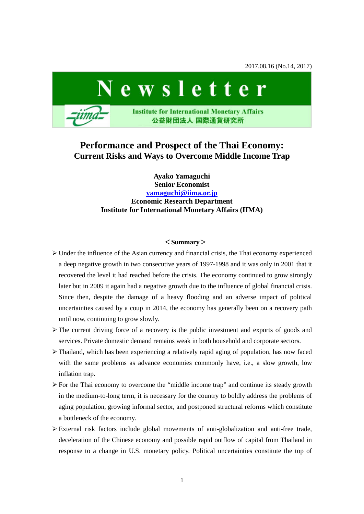2017.08.16 (No.14, 2017)



# **Performance and Prospect of the Thai Economy: Current Risks and Ways to Overcome Middle Income Trap**

**Ayako Yamaguchi Senior Economist [yamaguchi@iima.or.jp](mailto:yamaguchi@iima.or.jp) Economic Research Department Institute for International Monetary Affairs (IIMA)**

# <**Summary**>

- $\triangleright$  Under the influence of the Asian currency and financial crisis, the Thai economy experienced a deep negative growth in two consecutive years of 1997-1998 and it was only in 2001 that it recovered the level it had reached before the crisis. The economy continued to grow strongly later but in 2009 it again had a negative growth due to the influence of global financial crisis. Since then, despite the damage of a heavy flooding and an adverse impact of political uncertainties caused by a coup in 2014, the economy has generally been on a recovery path until now, continuing to grow slowly.
- $\triangleright$  The current driving force of a recovery is the public investment and exports of goods and services. Private domestic demand remains weak in both household and corporate sectors.
- $\triangleright$  Thailand, which has been experiencing a relatively rapid aging of population, has now faced with the same problems as advance economies commonly have, i.e., a slow growth, low inflation trap.
- $\triangleright$  For the Thai economy to overcome the "middle income trap" and continue its steady growth in the medium-to-long term, it is necessary for the country to boldly address the problems of aging population, growing informal sector, and postponed structural reforms which constitute a bottleneck of the economy.
- $\triangleright$  External risk factors include global movements of anti-globalization and anti-free trade, deceleration of the Chinese economy and possible rapid outflow of capital from Thailand in response to a change in U.S. monetary policy. Political uncertainties constitute the top of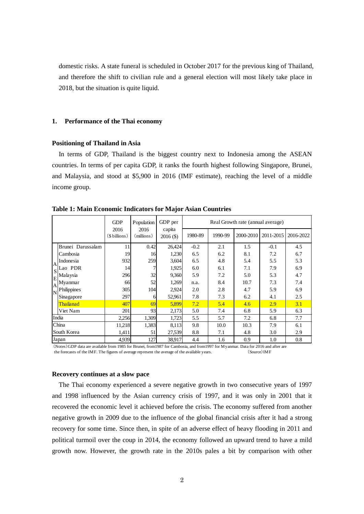domestic risks. A state funeral is scheduled in October 2017 for the previous king of Thailand, and therefore the shift to civilian rule and a general election will most likely take place in 2018, but the situation is quite liquid.

#### **1. Performance of the Thai economy**

# **Positioning of Thailand in Asia**

In terms of GDP, Thailand is the biggest country next to Indonesia among the ASEAN countries. In terms of per capita GDP, it ranks the fourth highest following Singapore, Brunei, and Malaysia, and stood at \$5,900 in 2016 (IMF estimate), reaching the level of a middle income group.

|                                 |                   | <b>GDP</b><br>2016<br>(\$billions) | Population<br>2016<br>(millions) | GDP per<br>capita<br>$2016($ \$) | Real Growth rate (annual average) |         |           |           |           |
|---------------------------------|-------------------|------------------------------------|----------------------------------|----------------------------------|-----------------------------------|---------|-----------|-----------|-----------|
|                                 |                   |                                    |                                  |                                  | 1980-89                           | 1990-99 | 2000-2010 | 2011-2015 | 2016-2022 |
|                                 | Brunei Darussalam | 11                                 | 0.42                             | 26,424                           | $-0.2$                            | 2.1     | 1.5       | $-0.1$    | 4.5       |
|                                 | Cambosia          | 19                                 | 16                               | 1,230                            | 6.5                               | 6.2     | 8.1       | 7.2       | 6.7       |
| A                               | Indonesia         | 932                                | 259                              | 3,604                            | 6.5                               | 4.8     | 5.4       | 5.5       | 5.3       |
| $S^{\dagger}$<br>E<br>IA.<br>IN | Lao PDR           | 14                                 |                                  | 1,925                            | 6.0                               | 6.1     | 7.1       | 7.9       | 6.9       |
|                                 | Malaysia          | 296                                | 32                               | 9,360                            | 5.9                               | 7.2     | 5.0       | 5.3       | 4.7       |
|                                 | Myanmar           | 66                                 | 52                               | 1,269                            | n.a.                              | 8.4     | 10.7      | 7.3       | 7.4       |
|                                 | Philippines       | 305                                | 104                              | 2,924                            | 2.0                               | 2.8     | 4.7       | 5.9       | 6.9       |
|                                 | Sinagapore        | 297                                | 6                                | 52,961                           | 7.8                               | 7.3     | 6.2       | 4.1       | 2.5       |
|                                 | Thailanad         | 407                                | 69                               | 5,899                            | 7.2                               | 5.4     | 4.6       | 2.9       | 3.1       |
|                                 | Viet Nam          | 201                                | 93                               | 2,173                            | 5.0                               | 7.4     | 6.8       | 5.9       | 6.3       |
| India                           |                   | 2,256                              | 1,309                            | 1,723                            | 5.5                               | 5.7     | 7.2       | 6.8       | 7.7       |
| China                           |                   | 11,218                             | 1,383                            | 8,113                            | 9.8                               | 10.0    | 10.3      | 7.9       | 6.1       |
| South Korea                     |                   | 1,411                              | 51                               | 27,539                           | 8.8                               | 7.1     | 4.8       | 3.0       | 2.9       |
| Japan                           |                   | 4,939                              | 127                              | 38,917                           | 4.4                               | 1.6     | 0.9       | 1.0       | 0.8       |

**Table 1: Main Economic Indicators for Major Asian Countries**

(Notes)GDP data are available from 1985 for Brunei, from1987 for Cambosia, and from1997 for Myanmar. Data for 2016 and after are the forecasts of the IMF. The figures of average represent the average of the available years. (Source)IMF

#### **Recovery continues at a slow pace**

The Thai economy experienced a severe negative growth in two consecutive years of 1997 and 1998 influenced by the Asian currency crisis of 1997, and it was only in 2001 that it recovered the economic level it achieved before the crisis. The economy suffered from another negative growth in 2009 due to the influence of the global financial crisis after it had a strong recovery for some time. Since then, in spite of an adverse effect of heavy flooding in 2011 and political turmoil over the coup in 2014, the economy followed an upward trend to have a mild growth now. However, the growth rate in the 2010s pales a bit by comparison with other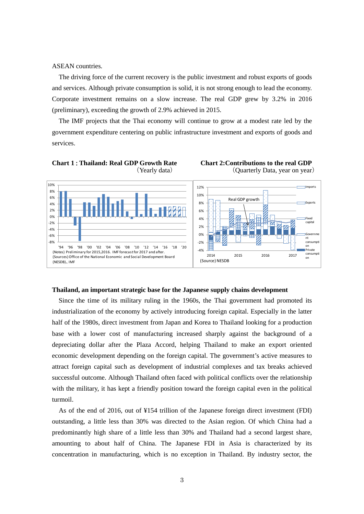ASEAN countries.

The driving force of the current recovery is the public investment and robust exports of goods and services. Although private consumption is solid, it is not strong enough to lead the economy. Corporate investment remains on a slow increase. The real GDP grew by 3.2% in 2016 (preliminary), exceeding the growth of 2.9% achieved in 2015.

The IMF projects that the Thai economy will continue to grow at a modest rate led by the government expenditure centering on public infrastructure investment and exports of goods and services.







#### **Thailand, an important strategic base for the Japanese supply chains development**

Since the time of its military ruling in the 1960s, the Thai government had promoted its industrialization of the economy by actively introducing foreign capital. Especially in the latter half of the 1980s, direct investment from Japan and Korea to Thailand looking for a production base with a lower cost of manufacturing increased sharply against the background of a depreciating dollar after the Plaza Accord, helping Thailand to make an export oriented economic development depending on the foreign capital. The government's active measures to attract foreign capital such as development of industrial complexes and tax breaks achieved successful outcome. Although Thailand often faced with political conflicts over the relationship with the military, it has kept a friendly position toward the foreign capital even in the political turmoil.

As of the end of 2016, out of ¥154 trillion of the Japanese foreign direct investment (FDI) outstanding, a little less than 30% was directed to the Asian region. Of which China had a predominantly high share of a little less than 30% and Thailand had a second largest share, amounting to about half of China. The Japanese FDI in Asia is characterized by its concentration in manufacturing, which is no exception in Thailand. By industry sector, the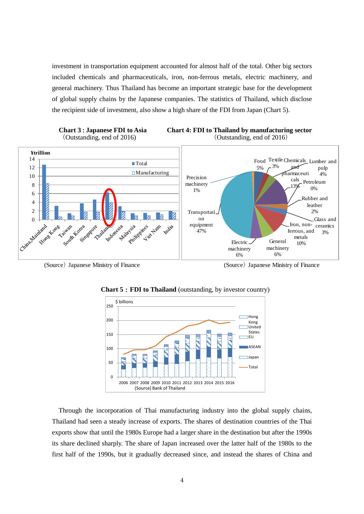investment in transportation equipment accounted for almost half of the total. Other big sectors included chemicals and pharmaceuticals, iron, non-ferrous metals, electric machinery, and general machinery. Thus Thailand has become an important strategic base for the development of global supply chains by the Japanese companies. The statistics of Thailand, which disclose the recipient side of investment, also show a high share of the FDI from Japan (Chart 5).







(Source) Japanese Ministry of Finance (Source) Japanese Ministry of Finance



**Chart 5**:**FDI to Thailand** (outstanding, by investor country)

Through the incorporation of Thai manufacturing industry into the global supply chains, Thailand had seen a steady increase of exports. The shares of destination countries of the Thai exports show that until the 1980s Europe had a larger share in the destination but after the 1990s its share declined sharply. The share of Japan increased over the latter half of the 1980s to the first half of the 1990s, but it gradually decreased since, and instead the shares of China and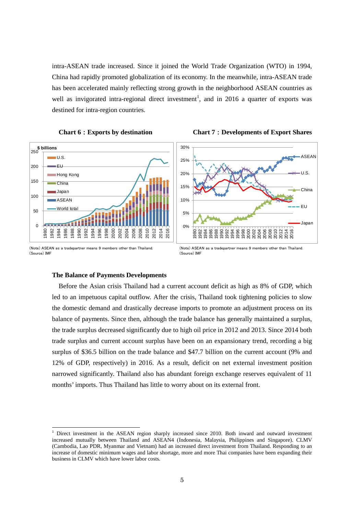intra-ASEAN trade increased. Since it joined the World Trade Organization (WTO) in 1994, China had rapidly promoted globalization of its economy. In the meanwhile, intra-ASEAN trade has been accelerated mainly reflecting strong growth in the neighborhood ASEAN countries as well as invigorated intra-regional direct investment<sup>[1](#page-4-0)</sup>, and in 2016 a quarter of exports was destined for intra-region countries.









<sup>(</sup>Note) ASEAN as a tradepartner means 9 members other than Thailand. (Source) IMF

#### **The Balance of Payments Developments**

Before the Asian crisis Thailand had a current account deficit as high as 8% of GDP, which led to an impetuous capital outflow. After the crisis, Thailand took tightening policies to slow the domestic demand and drastically decrease imports to promote an adjustment process on its balance of payments. Since then, although the trade balance has generally maintained a surplus, the trade surplus decreased significantly due to high oil price in 2012 and 2013. Since 2014 both trade surplus and current account surplus have been on an expansionary trend, recording a big surplus of \$36.5 billion on the trade balance and \$47.7 billion on the current account (9% and 12% of GDP, respectively) in 2016. As a result, deficit on net external investment position narrowed significantly. Thailand also has abundant foreign exchange reserves equivalent of 11 months' imports. Thus Thailand has little to worry about on its external front.

<sup>(</sup>Note) ASEAN as a tradepartner means 9 members other than Thailand. (Source) IMF

<span id="page-4-0"></span><sup>&</sup>lt;sup>1</sup> Direct investment in the ASEAN region sharply increased since 2010. Both inward and outward investment increased mutually between Thailand and ASEAN4 (Indonesia, Malaysia, Philippines and Singapore). CLMV (Cambodia, Lao PDR, Myanmar and Vietnam) had an increased direct investment from Thailand. Responding to an increase of domestic minimum wages and labor shortage, more and more Thai companies have been expanding their business in CLMV which have lower labor costs.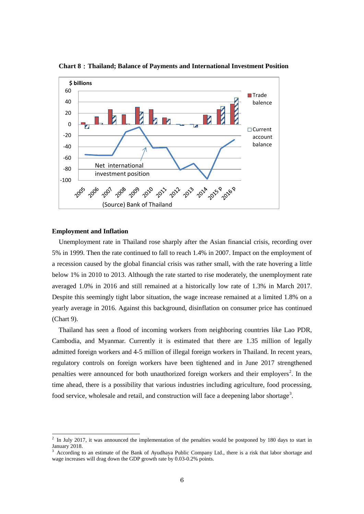

**Chart 8**:**Thailand; Balance of Payments and International Investment Position**

#### **Employment and Inflation**

Unemployment rate in Thailand rose sharply after the Asian financial crisis, recording over 5% in 1999. Then the rate continued to fall to reach 1.4% in 2007. Impact on the employment of a recession caused by the global financial crisis was rather small, with the rate hovering a little below 1% in 2010 to 2013. Although the rate started to rise moderately, the unemployment rate averaged 1.0% in 2016 and still remained at a historically low rate of 1.3% in March 2017. Despite this seemingly tight labor situation, the wage increase remained at a limited 1.8% on a yearly average in 2016. Against this background, disinflation on consumer price has continued (Chart 9).

Thailand has seen a flood of incoming workers from neighboring countries like Lao PDR, Cambodia, and Myanmar. Currently it is estimated that there are 1.35 million of legally admitted foreign workers and 4-5 million of illegal foreign workers in Thailand. In recent years, regulatory controls on foreign workers have been tightened and in June 2017 strengthened penalties were announced for both unauthorized foreign workers and their employers<sup>[2](#page-5-0)</sup>. In the time ahead, there is a possibility that various industries including agriculture, food processing, food service, wholesale and retail, and construction will face a deepening labor shortage<sup>[3](#page-5-1)</sup>.

<span id="page-5-0"></span> $2$  In July 2017, it was announced the implementation of the penalties would be postponed by 180 days to start in January 2018.

<span id="page-5-1"></span><sup>3</sup> According to an estimate of the Bank of Ayudhaya Public Company Ltd., there is a risk that labor shortage and wage increases will drag down the GDP growth rate by 0.03-0.2% points.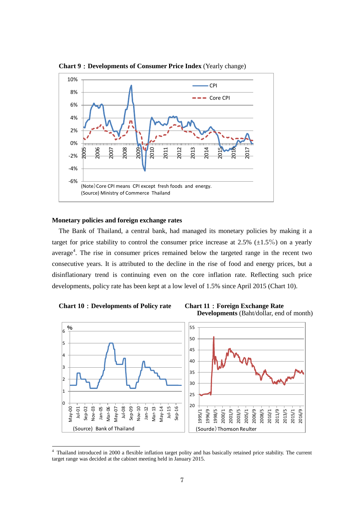

**Chart 9**:**Developments of Consumer Price Index** (Yearly change)

# **Monetary policies and foreign exchange rates**

The Bank of Thailand, a central bank, had managed its monetary policies by making it a target for price stability to control the consumer price increase at 2.5%  $(\pm 1.5\%)$  on a yearly average<sup>[4](#page-6-0)</sup>. The rise in consumer prices remained below the targeted range in the recent two consecutive years. It is attributed to the decline in the rise of food and energy prices, but a disinflationary trend is continuing even on the core inflation rate. Reflecting such price developments, policy rate has been kept at a low level of 1.5% since April 2015 (Chart 10).







<span id="page-6-0"></span><sup>4</sup> Thailand introduced in 2000 a flexible inflation target polity and has basically retained price stability. The current target range was decided at the cabinet meeting held in January 2015.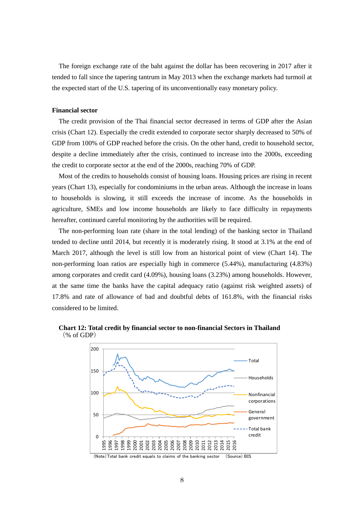The foreign exchange rate of the baht against the dollar has been recovering in 2017 after it tended to fall since the tapering tantrum in May 2013 when the exchange markets had turmoil at the expected start of the U.S. tapering of its unconventionally easy monetary policy.

# **Financial sector**

The credit provision of the Thai financial sector decreased in terms of GDP after the Asian crisis (Chart 12). Especially the credit extended to corporate sector sharply decreased to 50% of GDP from 100% of GDP reached before the crisis. On the other hand, credit to household sector, despite a decline immediately after the crisis, continued to increase into the 2000s, exceeding the credit to corporate sector at the end of the 2000s, reaching 70% of GDP.

Most of the credits to households consist of housing loans. Housing prices are rising in recent years (Chart 13), especially for condominiums in the urban areas. Although the increase in loans to households is slowing, it still exceeds the increase of income. As the households in agriculture, SMEs and low income households are likely to face difficulty in repayments hereafter, continued careful monitoring by the authorities will be required.

The non-performing loan rate (share in the total lending) of the banking sector in Thailand tended to decline until 2014, but recently it is moderately rising. It stood at 3.1% at the end of March 2017, although the level is still low from an historical point of view (Chart 14). The non-performing loan ratios are especially high in commerce (5.44%), manufacturing (4.83%) among corporates and credit card (4.09%), housing loans (3.23%) among households. However, at the same time the banks have the capital adequacy ratio (against risk weighted assets) of 17.8% and rate of allowance of bad and doubtful debts of 161.8%, with the financial risks considered to be limited.



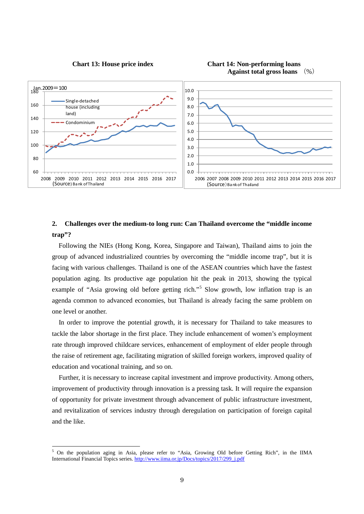





# **2. Challenges over the medium-to long run: Can Thailand overcome the "middle income trap"?**

Following the NIEs (Hong Kong, Korea, Singapore and Taiwan), Thailand aims to join the group of advanced industrialized countries by overcoming the "middle income trap", but it is facing with various challenges. Thailand is one of the ASEAN countries which have the fastest population aging. Its productive age population hit the peak in 2013, showing the typical example of "Asia growing old before getting rich."<sup>[5](#page-8-0)</sup> Slow growth, low inflation trap is an agenda common to advanced economies, but Thailand is already facing the same problem on one level or another.

In order to improve the potential growth, it is necessary for Thailand to take measures to tackle the labor shortage in the first place. They include enhancement of women's employment rate through improved childcare services, enhancement of employment of elder people through the raise of retirement age, facilitating migration of skilled foreign workers, improved quality of education and vocational training, and so on.

Further, it is necessary to increase capital investment and improve productivity. Among others, improvement of productivity through innovation is a pressing task. It will require the expansion of opportunity for private investment through advancement of public infrastructure investment, and revitalization of services industry through deregulation on participation of foreign capital and the like.

<span id="page-8-0"></span> $<sup>5</sup>$  On the population aging in Asia, please refer to "Asia, Growing Old before Getting Rich", in the IIMA</sup> International Financial Topics series. [http://www.iima.or.jp/Docs/topics/2017/299\\_j.pdf](http://www.iima.or.jp/Docs/topics/2017/299_j.pdf)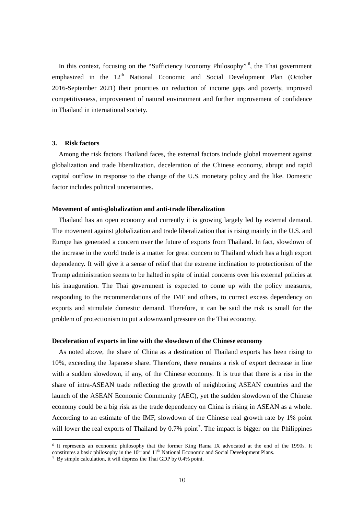In this context, focusing on the "Sufficiency Economy Philosophy"<sup>[6](#page-9-0)</sup>, the Thai government emphasized in the 12<sup>th</sup> National Economic and Social Development Plan (October 2016-September 2021) their priorities on reduction of income gaps and poverty, improved competitiveness, improvement of natural environment and further improvement of confidence in Thailand in international society.

# **3. Risk factors**

Among the risk factors Thailand faces, the external factors include global movement against globalization and trade liberalization, deceleration of the Chinese economy, abrupt and rapid capital outflow in response to the change of the U.S. monetary policy and the like. Domestic factor includes political uncertainties.

# **Movement of anti-globalization and anti-trade liberalization**

Thailand has an open economy and currently it is growing largely led by external demand. The movement against globalization and trade liberalization that is rising mainly in the U.S. and Europe has generated a concern over the future of exports from Thailand. In fact, slowdown of the increase in the world trade is a matter for great concern to Thailand which has a high export dependency. It will give it a sense of relief that the extreme inclination to protectionism of the Trump administration seems to be halted in spite of initial concerns over his external policies at his inauguration. The Thai government is expected to come up with the policy measures, responding to the recommendations of the IMF and others, to correct excess dependency on exports and stimulate domestic demand. Therefore, it can be said the risk is small for the problem of protectionism to put a downward pressure on the Thai economy.

# **Deceleration of exports in line with the slowdown of the Chinese economy**

As noted above, the share of China as a destination of Thailand exports has been rising to 10%, exceeding the Japanese share. Therefore, there remains a risk of export decrease in line with a sudden slowdown, if any, of the Chinese economy. It is true that there is a rise in the share of intra-ASEAN trade reflecting the growth of neighboring ASEAN countries and the launch of the ASEAN Economic Community (AEC), yet the sudden slowdown of the Chinese economy could be a big risk as the trade dependency on China is rising in ASEAN as a whole. According to an estimate of the IMF, slowdown of the Chinese real growth rate by 1% point will lower the real exports of Thailand by  $0.7\%$  $0.7\%$  $0.7\%$  point<sup>7</sup>. The impact is bigger on the Philippines

<span id="page-9-0"></span><sup>&</sup>lt;sup>6</sup> It represents an economic philosophy that the former King Rama IX advocated at the end of the 1990s. It constitutes a basic philosophy in the 10<sup>th</sup> and 11<sup>th</sup> National Economic and Social Development Plans.

<span id="page-9-1"></span><sup>7</sup> By simple calculation, it will depress the Thai GDP by 0.4% point.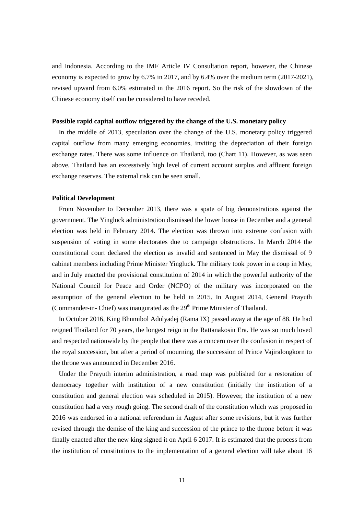and Indonesia. According to the IMF Article IV Consultation report, however, the Chinese economy is expected to grow by 6.7% in 2017, and by 6.4% over the medium term (2017-2021), revised upward from 6.0% estimated in the 2016 report. So the risk of the slowdown of the Chinese economy itself can be considered to have receded.

# **Possible rapid capital outflow triggered by the change of the U.S. monetary policy**

In the middle of 2013, speculation over the change of the U.S. monetary policy triggered capital outflow from many emerging economies, inviting the depreciation of their foreign exchange rates. There was some influence on Thailand, too (Chart 11). However, as was seen above, Thailand has an excessively high level of current account surplus and affluent foreign exchange reserves. The external risk can be seen small.

# **Political Development**

From November to December 2013, there was a spate of big demonstrations against the government. The Yingluck administration dismissed the lower house in December and a general election was held in February 2014. The election was thrown into extreme confusion with suspension of voting in some electorates due to campaign obstructions. In March 2014 the constitutional court declared the election as invalid and sentenced in May the dismissal of 9 cabinet members including Prime Minister Yingluck. The military took power in a coup in May, and in July enacted the provisional constitution of 2014 in which the powerful authority of the National Council for Peace and Order (NCPO) of the military was incorporated on the assumption of the general election to be held in 2015. In August 2014, General Prayuth (Commander-in- Chief) was inaugurated as the 29<sup>th</sup> Prime Minister of Thailand.

In October 2016, King Bhumibol Adulyadej (Rama IX) passed away at the age of 88. He had reigned Thailand for 70 years, the longest reign in the [Rattanakosin Era.](https://en.wikipedia.org/wiki/Rattanakosin_Era) He was so much loved and respected nationwide by the people that there was a concern over the confusion in respect of the royal succession, but after a period of mourning, the succession of Prince [Vajiralongkorn](https://en.wikipedia.org/wiki/Vajiralongkorn) to the throne was announced in December 2016.

Under the Prayuth interim administration, a road map was published for a restoration of democracy together with institution of a new constitution (initially the institution of a constitution and general election was scheduled in 2015). However, the institution of a new constitution had a very rough going. The second draft of the constitution which was proposed in 2016 was endorsed in a national referendum in August after some revisions, but it was further revised through the demise of the king and succession of the prince to the throne before it was finally enacted after the new king signed it on April 6 2017. It is estimated that the process from the institution of constitutions to the implementation of a general election will take about 16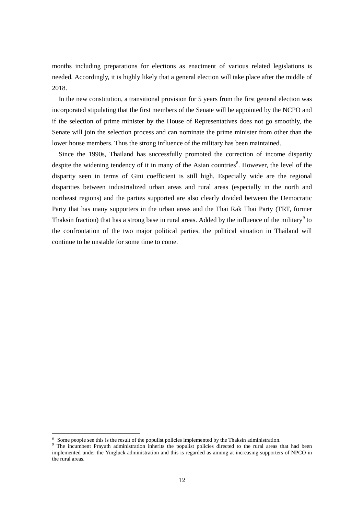months including preparations for elections as enactment of various related legislations is needed. Accordingly, it is highly likely that a general election will take place after the middle of 2018.

In the new constitution, a transitional provision for 5 years from the first general election was incorporated stipulating that the first members of the Senate will be appointed by the NCPO and if the selection of prime minister by the House of Representatives does not go smoothly, the Senate will join the selection process and can nominate the prime minister from other than the lower house members. Thus the strong influence of the military has been maintained.

Since the 1990s, Thailand has successfully promoted the correction of income disparity despite the widening tendency of it in many of the Asian countries<sup>[8](#page-11-0)</sup>. However, the level of the disparity seen in terms of Gini coefficient is still high. Especially wide are the regional disparities between industrialized urban areas and rural areas (especially in the north and northeast regions) and the parties supported are also clearly divided between the Democratic Party that has many supporters in the urban areas and the Thai Rak Thai Party (TRT, former Thaksin fraction) that has a strong base in rural areas. Added by the influence of the military<sup>[9](#page-11-1)</sup> to the confrontation of the two major political parties, the political situation in Thailand will continue to be unstable for some time to come.

<span id="page-11-0"></span><sup>&</sup>lt;sup>8</sup> Some people see this is the result of the populist policies implemented by the Thaksin administration. <sup>9</sup> The incumbent Prayuth administration inherits the populist policies directed to the rural areas that had been

<span id="page-11-1"></span>implemented under the Yingluck administration and this is regarded as aiming at increasing supporters of NPCO in the rural areas.